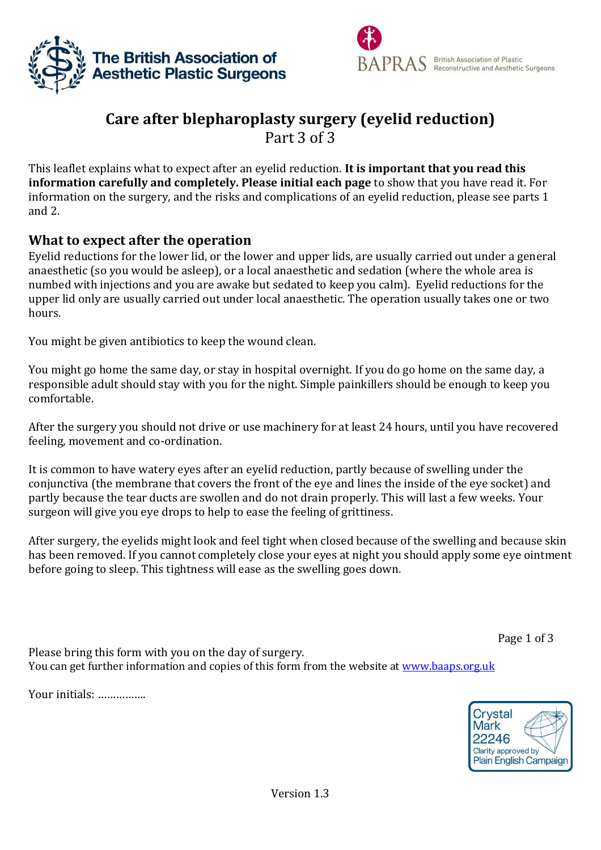



# **Care after blepharoplasty surgery (eyelid reduction)** Part 3 of 3

This leaflet explains what to expect after an eyelid reduction. **It is important that you read this information carefully and completely. Please initial each page** to show that you have read it. For information on the surgery, and the risks and complications of an eyelid reduction, please see parts 1 and 2.

# **What to expect after the operation**

Eyelid reductions for the lower lid, or the lower and upper lids, are usually carried out under a general anaesthetic (so you would be asleep), or a local anaesthetic and sedation (where the whole area is numbed with injections and you are awake but sedated to keep you calm). Eyelid reductions for the upper lid only are usually carried out under local anaesthetic. The operation usually takes one or two hours.

You might be given antibiotics to keep the wound clean.

You might go home the same day, or stay in hospital overnight. If you do go home on the same day, a responsible adult should stay with you for the night. Simple painkillers should be enough to keep you comfortable.

After the surgery you should not drive or use machinery for at least 24 hours, until you have recovered feeling, movement and co-ordination.

It is common to have watery eyes after an eyelid reduction, partly because of swelling under the conjunctiva (the membrane that covers the front of the eye and lines the inside of the eye socket) and partly because the tear ducts are swollen and do not drain properly. This will last a few weeks. Your surgeon will give you eye drops to help to ease the feeling of grittiness.

After surgery, the eyelids might look and feel tight when closed because of the swelling and because skin has been removed. If you cannot completely close your eyes at night you should apply some eye ointment before going to sleep. This tightness will ease as the swelling goes down.

Page 1 of 3

Please bring this form with you on the day of surgery. You can get further information and copies of this form from the website at [www.baaps.org.uk](http://www.baaps.org.uk/)

Your initials: …………….

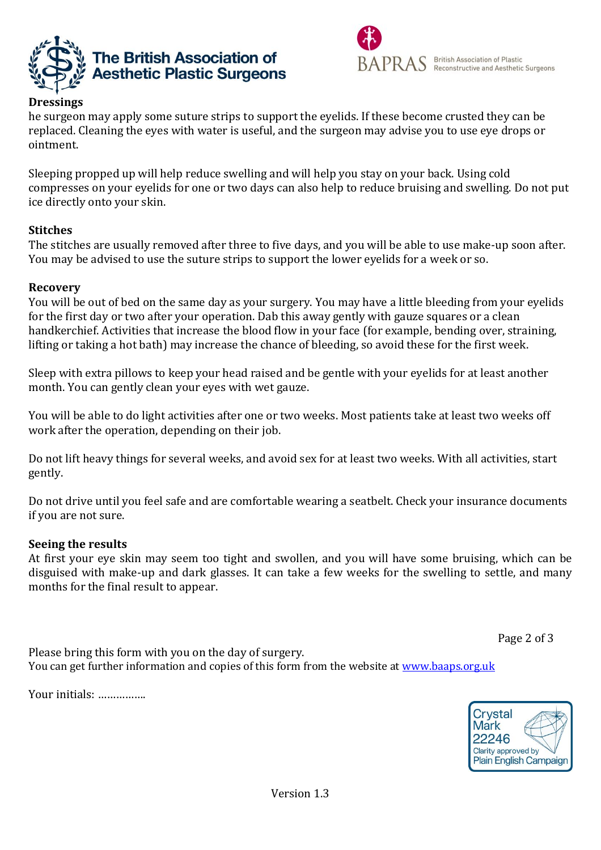



he surgeon may apply some suture strips to support the eyelids. If these become crusted they can be replaced. Cleaning the eyes with water is useful, and the surgeon may advise you to use eye drops or ointment.

Sleeping propped up will help reduce swelling and will help you stay on your back. Using cold compresses on your eyelids for one or two days can also help to reduce bruising and swelling. Do not put ice directly onto your skin.

# **Stitches**

The stitches are usually removed after three to five days, and you will be able to use make-up soon after. You may be advised to use the suture strips to support the lower eyelids for a week or so.

# **Recovery**

You will be out of bed on the same day as your surgery. You may have a little bleeding from your eyelids for the first day or two after your operation. Dab this away gently with gauze squares or a clean handkerchief. Activities that increase the blood flow in your face (for example, bending over, straining, lifting or taking a hot bath) may increase the chance of bleeding, so avoid these for the first week.

Sleep with extra pillows to keep your head raised and be gentle with your eyelids for at least another month. You can gently clean your eyes with wet gauze.

You will be able to do light activities after one or two weeks. Most patients take at least two weeks off work after the operation, depending on their job.

Do not lift heavy things for several weeks, and avoid sex for at least two weeks. With all activities, start gently.

Do not drive until you feel safe and are comfortable wearing a seatbelt. Check your insurance documents if you are not sure.

#### **Seeing the results**

At first your eye skin may seem too tight and swollen, and you will have some bruising, which can be disguised with make-up and dark glasses. It can take a few weeks for the swelling to settle, and many months for the final result to appear.

Page 2 of 3

Please bring this form with you on the day of surgery. You can get further information and copies of this form from the website at [www.baaps.org.uk](http://www.baaps.org.uk/)

Your initials: …………….